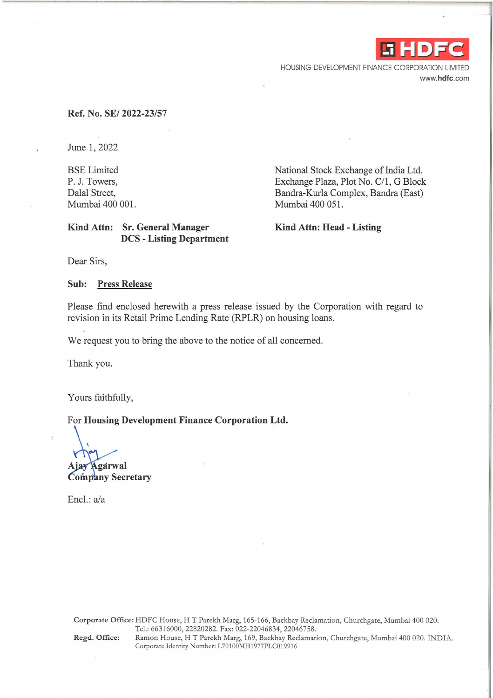

HOUSING DEVELOPMENT FINANCE CORPORATION LIMITED www.hdfc.com

#### **Ref. No. SE/ 2022-23/57**

June 1, 2022

BSE Limited P. J. Towers, Dalal Street, Mumbai 400 001.

#### **Kind Attn: Sr. General Manager DCS - Listing Department**

National Stock Exchange of India Ltd. Exchange Plaza, Plot No. C/1, G Block Bandra-Kurla Complex, Bandra (East) Mumbai 400 051.

**Kind Attn: Head - Listing** 

Dear Sirs,

**Sub: Press Release** 

Please find enclosed herewith a press release issued by the Corporation with regard to revision in its Retail Prime Lending Rate (RPLR) on housing loans.

We request you to bring the above to the notice of all concerned.

Thank you.

Yours faithfully,

For **Housing Development Finance Corporation Ltd.** 

**Agarwal**  $A$ iav

**Company Secretary** 

Encl.: a/a

**Corporate Office:** HDFC House, HT Parekh Marg, 165-166, Backbay Reclamation, Churchgate, Mumbai 400 020. Tel.: 66316000, 22820282. Fax: 022-22046834, 22046758. **Regd. Office:** Ramon House, HT Parekh Marg, 169, Backbay Reclamation, Churchgate, Mumbai 400 020. INDIA. Corporate Identity Number: L70100MH1977PLC019916